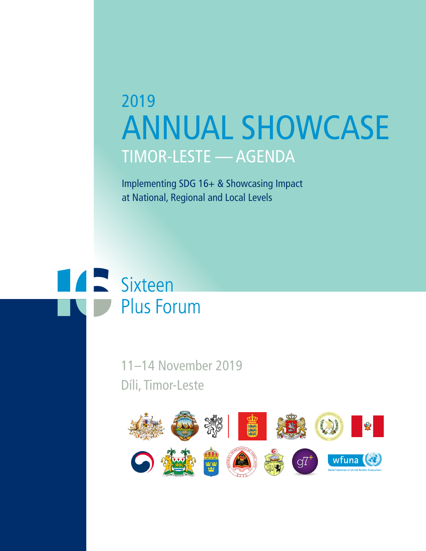# 2019 ANNUAL SHOWCASE TIMOR-LESTE — AGENDA

Implementing SDG 16+ & Showcasing Impact at National, Regional and Local Levels

# **All Sixteen Plus Forum**

11–14 November 2019 Díli, Timor-Leste

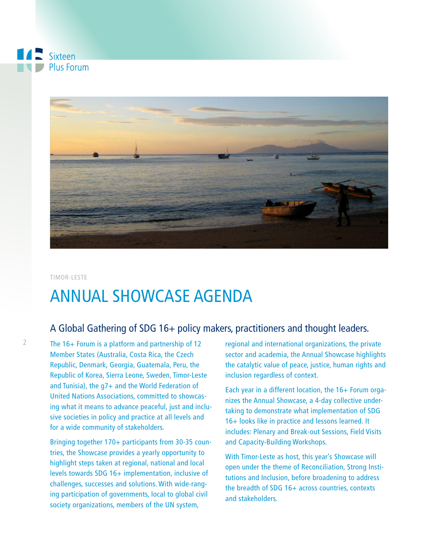

TIMOR-LESTE

# ANNUAL SHOWCASE AGENDA

### A Global Gathering of SDG 16+ policy makers, practitioners and thought leaders.

The 16+ Forum is a platform and partnership of 12 Member States (Australia, Costa Rica, the Czech Republic, Denmark, Georgia, Guatemala, Peru, the Republic of Korea, Sierra Leone, Sweden, Timor-Leste and Tunisia), the g7+ and the World Federation of United Nations Associations, committed to showcasing what it means to advance peaceful, just and inclusive societies in policy and practice at all levels and for a wide community of stakeholders.

Bringing together 170+ participants from 30-35 countries, the Showcase provides a yearly opportunity to highlight steps taken at regional, national and local levels towards SDG 16+ implementation, inclusive of challenges, successes and solutions. With wide-ranging participation of governments, local to global civil society organizations, members of the UN system,

regional and international organizations, the private sector and academia, the Annual Showcase highlights the catalytic value of peace, justice, human rights and inclusion regardless of context.

Each year in a different location, the 16+ Forum organizes the Annual Showcase, a 4-day collective undertaking to demonstrate what implementation of SDG 16+ looks like in practice and lessons learned. It includes: Plenary and Break-out Sessions, Field Visits and Capacity-Building Workshops.

With Timor-Leste as host, this year's Showcase will open under the theme of Reconciliation, Strong Institutions and Inclusion, before broadening to address the breadth of SDG 16+ across countries, contexts and stakeholders.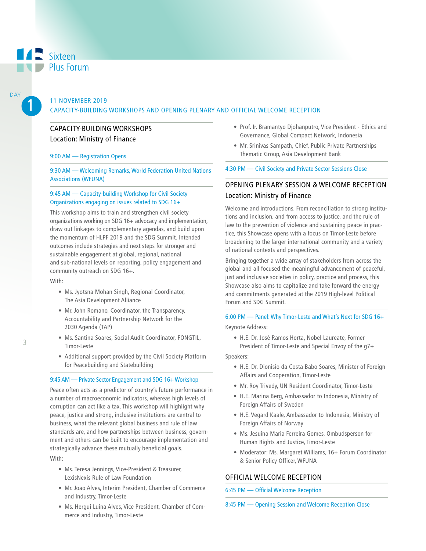1

**DAY** 

#### 11 NOVEMBER 2019 CAPACITY-BUILDING WORKSHOPS AND OPENING PLENARY AND OFFICIAL WELCOME RECEPTION

#### CAPACITY-BUILDING WORKSHOPS Location: Ministry of Finance

#### 9:00 AM — Registration Opens

9:30 AM — Welcoming Remarks, World Federation United Nations Associations (WFUNA)

#### 9:45 AM — Capacity-building Workshop for Civil Society Organizations engaging on issues related to SDG 16+

This workshop aims to train and strengthen civil society organizations working on SDG 16+ advocacy and implementation, draw out linkages to complementary agendas, and build upon the momentum of HLPF 2019 and the SDG Summit. Intended outcomes include strategies and next steps for stronger and sustainable engagement at global, regional, national and sub-national levels on reporting, policy engagement and community outreach on SDG 16+.

With:

- Ms. Jyotsna Mohan Singh, Regional Coordinator, The Asia Development Alliance
- Mr. John Romano, Coordinator, the Transparency, Accountability and Partnership Network for the 2030 Agenda (TAP)
- Ms. Santina Soares, Social Audit Coordinator, FONGTIL, Timor-Leste
- Additional support provided by the Civil Society Platform for Peacebuilding and Statebuilding

#### 9:45 AM — Private Sector Engagement and SDG 16+ Workshop

Peace often acts as a predictor of country's future performance in a number of macroeconomic indicators, whereas high levels of corruption can act like a tax. This workshop will highlight why peace, justice and strong, inclusive institutions are central to business, what the relevant global business and rule of law standards are, and how partnerships between business, government and others can be built to encourage implementation and strategically advance these mutually beneficial goals. With:

- Ms. Teresa Jennings, Vice-President & Treasurer, LexisNexis Rule of Law Foundation
- Mr. Joao Alves, Interim President, Chamber of Commerce and Industry, Timor-Leste
- Ms. Hergui Luina Alves, Vice President, Chamber of Commerce and Industry, Timor-Leste
- Prof. Ir. Bramantyo Djohanputro, Vice President Ethics and Governance, Global Compact Network, Indonesia
- Mr. Srinivas Sampath, Chief, Public Private Partnerships Thematic Group, Asia Development Bank

#### 4:30 PM — Civil Society and Private Sector Sessions Close

#### OPENING PLENARY SESSION & WELCOME RECEPTION Location: Ministry of Finance

Welcome and introductions. From reconciliation to strong institutions and inclusion, and from access to justice, and the rule of law to the prevention of violence and sustaining peace in practice, this Showcase opens with a focus on Timor-Leste before broadening to the larger international community and a variety of national contexts and perspectives.

Bringing together a wide array of stakeholders from across the global and all focused the meaningful advancement of peaceful, just and inclusive societies in policy, practice and process, this Showcase also aims to capitalize and take forward the energy and commitments generated at the 2019 High-level Political Forum and SDG Summit.

6:00 PM — Panel: Why Timor-Leste and What's Next for SDG 16+ Keynote Address:

• H.E. Dr. José Ramos Horta, Nobel Laureate, Former President of Timor-Leste and Special Envoy of the g7+

Speakers:

- H.E. Dr. Dionisio da Costa Babo Soares, Minister of Foreign Affairs and Cooperation, Timor-Leste
- Mr. Roy Trivedy, UN Resident Coordinator, Timor-Leste
- H.E. Marina Berg, Ambassador to Indonesia, Ministry of Foreign Affairs of Sweden
- H.E. Vegard Kaale, Ambassador to Indonesia, Ministry of Foreign Affairs of Norway
- Ms. Jesuina Maria Ferreira Gomes, Ombudsperson for Human Rights and Justice, Timor-Leste
- Moderator: Ms. Margaret Williams, 16+ Forum Coordinator & Senior Policy Officer, WFUNA

#### OFFICIAL WELCOME RECEPTION

6:45 PM — Official Welcome Reception

8:45 PM — Opening Session and Welcome Reception Close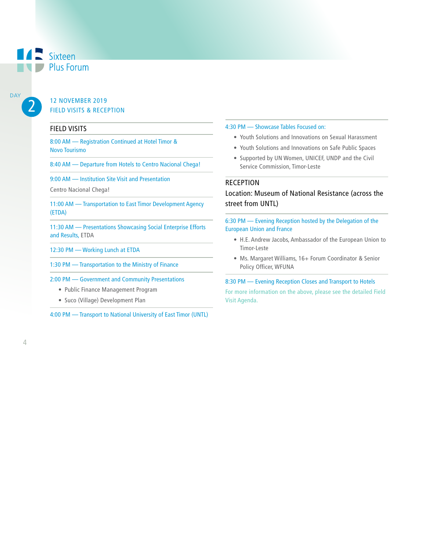## Sixteen Plus Forum

2 DAY

#### 12 NOVEMBER 2019 FIELD VISITS & RECEPTION

#### FIELD VISITS

8:00 AM — Registration Continued at Hotel Timor & Novo Tourismo

8:40 AM — Departure from Hotels to Centro Nacional Chega!

9:00 AM — Institution Site Visit and Presentation

Centro Nacional Chega!

11:00 AM — Transportation to East Timor Development Agency (ETDA)

11:30 AM — Presentations Showcasing Social Enterprise Efforts and Results, ETDA

12:30 PM — Working Lunch at ETDA

1:30 PM — Transportation to the Ministry of Finance

2:00 PM — Government and Community Presentations

- Public Finance Management Program
- Suco (Village) Development Plan

4:00 PM — Transport to National University of East Timor (UNTL)

#### 4:30 PM — Showcase Tables Focused on:

- Youth Solutions and Innovations on Sexual Harassment
- Youth Solutions and Innovations on Safe Public Spaces
- Supported by UN Women, UNICEF, UNDP and the Civil Service Commission, Timor-Leste

#### RECEPTION

Location: Museum of National Resistance (across the street from UNTL)

6:30 PM — Evening Reception hosted by the Delegation of the European Union and France

- H.E. Andrew Jacobs, Ambassador of the European Union to Timor-Leste
- Ms. Margaret Williams, 16+ Forum Coordinator & Senior Policy Officer, WFUNA

#### 8:30 PM — Evening Reception Closes and Transport to Hotels

For more information on the above, please see the detailed Field Visit Agenda.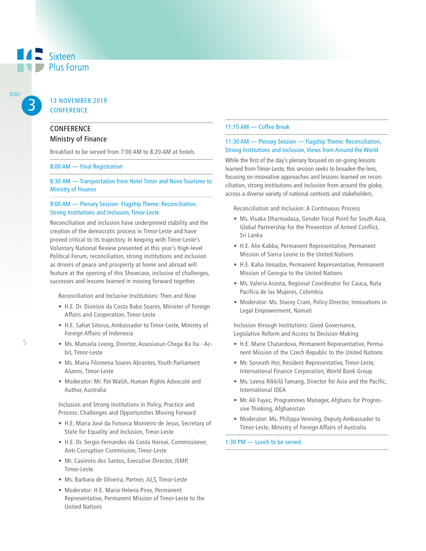#### 13 NOVEMBER 2019 **CONFERENCE**

#### **CONFERENCE**

3

**A** Sixteen

Plus Forum

DAY

#### Ministry of Finance

Breakfast to be served from 7:00 AM to 8:20 AM at hotels

#### 8:00 AM — Final Registration

8:30 AM — Transportation from Hotel Timor and Novo Tourismo to Ministry of Finance

#### 9:00 AM — Plenary Session- Flagship Theme: Reconciliation, Strong Institutions and Inclusion, Timor-Leste

Reconciliation and inclusion have underpinned stability and the creation of the democratic process in Timor-Leste and have proved critical to its trajectory. In keeping with Timor-Leste's Voluntary National Review presented at this year's High-level Political Forum, reconciliation, strong institutions and inclusion as drivers of peace and prosperity at home and abroad will feature at the opening of this Showcase, inclusive of challenges, successes and lessons learned in moving forward together.

Reconciliation and Inclusive Institutions: Then and Now

- H.E. Dr. Dionisio da Costa Babo Soares, Minister of Foreign Affairs and Cooperation, Timor-Leste
- H.E. Sahat Sitorus, Ambassador to Timor-Leste, Ministry of Foreign Affairs of Indonesia
- Ms. Manuela Leong, Director, Assosiasun Chega Ba Ita Acbit, Timor-Leste
- Ms. Maria Filomena Soares Abrantes, Youth Parliament Alumni, Timor-Leste
- Moderator: Mr. Pat Walsh, Human Rights Advocate and Author, Australia

Inclusion and Strong Institutions in Policy, Practice and Process: Challenges and Opportunities Moving Forward

- H.E. Maria José da Fonseca Monteiro de Jesus, Secretary of State for Equality and Inclusion, Timor-Leste
- H.E. Dr. Sergio Fernandes da Costa Hornai, Commissioner, Anti-Corruption Commission, Timor-Leste
- Mr. Casimiro dos Santos, Executive Director, JSMP, Timor-Leste
- Ms. Barbara de Oliveira, Partner, JU,S, Timor-Leste
- Moderator: H.E. Maria Helena Pires, Permanent Representative, Permanent Mission of Timor-Leste to the United Nations

#### 11:15 AM — Coffee Break

#### 11:30 AM — Plenary Session — Flagship Theme: Reconciliation, Strong Institutions and Inclusion, Views from Around the World

While the first of the day's plenary focused on on-going lessons learned from Timor-Leste, this session seeks to broaden the lens, focusing on innovative approaches and lessons learned on reconciliation, strong institutions and inclusion from around the globe, across a diverse variety of national contexts and stakeholders.

Reconciliation and Inclusion: A Continuous Process

- Ms. Visaka Dharmadasa, Gender Focal Point for South Asia, Global Partnership for the Prevention of Armed Conflict, Sri Lanka
- H.E. Alie Kabba, Permanent Representative, Permanent Mission of Sierra Leone to the United Nations
- H.E. Kaha Imnadze, Permanent Representative, Permanent Mission of Georgia to the United Nations
- Ms. Valeria Acosta, Regional Coordinator for Cauca, Ruta Pacifica de las Mujeres, Colombia
- Moderator: Ms. Stacey Cram, Policy Director, Innovations in Legal Empowerment, Namati

Inclusion through Institutions: Good Governance, Legislative Reform and Access to Decision-Making

- H.E. Marie Chatardova, Permanent Representative, Permanent Mission of the Czech Republic to the United Nations
- Mr. Soneath Hor, Resident Representative, Timor-Leste, International Finance Corporation, World Bank Group
- Ms. Leena Rikkilä Tamang, Director for Asia and the Pacific, International IDEA
- Mr. Ali Fayez, Programmes Manager, Afghans for Progressive Thinking, Afghanistan
- Moderator: Ms. Philippa Venning, Deputy Ambassador to Timor-Leste, Ministry of Foreign Affairs of Australia

1:30 PM — Lunch to be served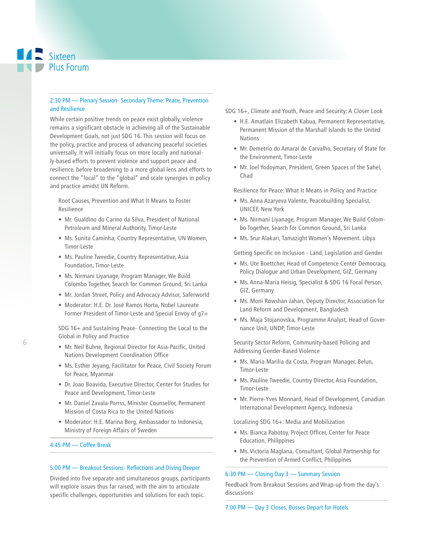# **A** Sixteen Plus Forum

#### 2:30 PM — Plenary Session- Secondary Theme: Peace, Prevention and Resilience

While certain positive trends on peace exist globally, violence remains a significant obstacle in achieving all of the Sustainable Development Goals, not just SDG 16. This session will focus on the policy, practice and process of advancing peaceful societies universally. It will initially focus on more locally and nationally-based efforts to prevent violence and support peace and resilience, before broadening to a more global lens and efforts to connect the "local" to the "global" and scale synergies in policy and practice amidst UN Reform.

Root Causes, Prevention and What It Means to Foster Resilience

- Mr. Gualdino do Carmo da Silva, President of National Petroleum and Mineral Authority, Timor-Leste
- Ms. Sunita Caminha, Country Representative, UN Women, Timor-Leste
- Ms. Pauline Tweedie, Country Representative, Asia Foundation, Timor-Leste
- Ms. Nirmani Liyanage, Program Manager, We Build Colombo Together, Search for Common Ground, Sri Lanka
- Mr. Jordan Street, Policy and Advocacy Advisor, Saferworld
- Moderator: H.E. Dr. José Ramos Horta, Nobel Laureate Former President of Timor-Leste and Special Envoy of g7+

SDG 16+ and Sustaining Peace- Connecting the Local to the Global in Policy and Practice

- Mr. Neil Buhne, Regional Director for Asia-Pacific, United Nations Development Coordination Office
- Ms. Esther Jeyang, Facilitator for Peace, Civil Society Forum for Peace, Myanmar
- Dr. Joao Boavida, Executive Director, Center for Studies for Peace and Development, Timor-Leste
- Mr. Daniel Zavala-Porrss, Minister Counsellor, Permanent Mission of Costa Rica to the United Nations
- Moderator: H.E. Marina Berg, Ambassador to Indonesia, Ministry of Foreign Affairs of Sweden

#### 4:45 PM — Coffee Break

#### 5:00 PM — Breakout Sessions- Reflections and Diving Deeper

Divided into five separate and simultaneous groups, participants will explore issues thus far raised, with the aim to articulate specific challenges, opportunities and solutions for each topic.

SDG 16+, Climate and Youth, Peace and Security: A Closer Look

- H.E. Amatlain Elizabeth Kabua, Permanent Representative, Permanent Mission of the Marshall Islands to the United Nations
- Mr. Demetrio do Amaral de Carvalho, Secretary of State for the Environment, Timor-Leste
- Mr. Joel Yodoyman, President, Green Spaces of the Sahel, Chad

Resilience for Peace: What It Means in Policy and Practice

- Ms. Anna Azaryeva Valente, Peacebuilding Specialist, UNICEF, New York
- Ms. Nirmani Liyanage, Program Manager, We Build Colombo Together, Search for Common Ground, Sri Lanka
- Ms. Srur Alakari, Tamazight Women's Movement. Libya

Getting Specific on Inclusion - Land, Legislation and Gender

- Ms. Ute Boettcher, Head of Competence Center Democracy, Policy Dialogue and Urban Development, GIZ, Germany
- Ms. Anna-Maria Heisig, Specialist & SDG 16 Focal Person, GIZ, Germany
- Ms. Moni Rowshan Jahan, Deputy Director, Association for Land Reform and Development, Bangladesh
- Ms. Maja Stojanovska, Programme Analyst, Head of Governance Unit, UNDP, Timor-Leste

Security Sector Reform, Community-based Policing and Addressing Gender-Based Violence

- Ms. Maria Marilia da Costa, Program Manager, Belun, Timor-Leste
- Ms. Pauline Tweedie, Country Director, Asia Foundation, Timor-Leste
- Mr. Pierre-Yves Monnard, Head of Development, Canadian International Development Agency, Indonesia

Localizing SDG 16+: Media and Mobilization

- Ms. Bianca Pabotoy, Project Officer, Center for Peace Education, Philippines
- Ms. Victoria Maglana, Consultant, Global Partnership for the Prevention of Armed Conflict, Philippines

#### 6:30 PM — Closing Day 3 — Summary Session

Feedback from Breakout Sessions and Wrap-up from the day's discussions

7:00 PM — Day 3 Closes, Busses Depart for Hotels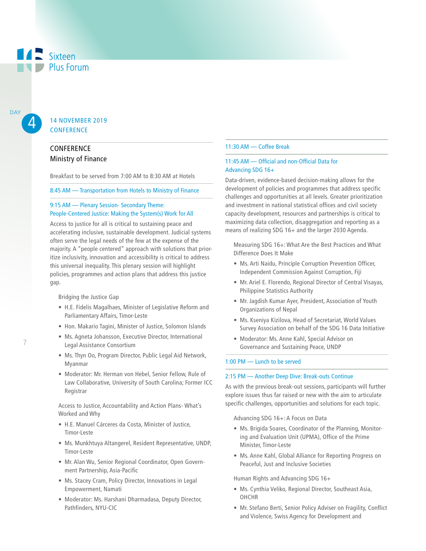# **A** Sixteen **Plus Forum**

4

#### 14 NOVEMBER 2019 **CONFERENCE**

#### **CONFERENCE** Ministry of Finance

Breakfast to be served from 7:00 AM to 8:30 AM at Hotels

#### 8:45 AM — Transportation from Hotels to Ministry of Finance

#### 9:15 AM — Plenary Session- Secondary Theme: People-Centered Justice: Making the System(s) Work for All

Access to justice for all is critical to sustaining peace and accelerating inclusive, sustainable development. Judicial systems often serve the legal needs of the few at the expense of the majority. A "people centered" approach with solutions that prioritize inclusivity, innovation and accessibility is critical to address this universal inequality. This plenary session will highlight policies, programmes and action plans that address this justice gap.

Bridging the Justice Gap

- H.E. Fidelis Magalhaes, Minister of Legislative Reform and Parliamentary Affairs, Timor-Leste
- Hon. Makario Tagini, Minister of Justice, Solomon Islands
- Ms. Agneta Johansson, Executive Director, International Legal Assistance Consortium
- Ms. Thyn Oo, Program Director, Public Legal Aid Network, Myanmar
- Moderator: Mr. Herman von Hebel, Senior Fellow, Rule of Law Collaborative, University of South Carolina; Former ICC Registrar

Access to Justice, Accountability and Action Plans- What's Worked and Why

- H.E. Manuel Cárceres da Costa, Minister of Justice, Timor-Leste
- Ms. Munkhtuya Altangerel, Resident Representative, UNDP, Timor-Leste
- Mr. Alan Wu, Senior Regional Coordinator, Open Government Partnership, Asia-Pacific
- Ms. Stacey Cram, Policy Director, Innovations in Legal Empowerment, Namati
- Moderator: Ms. Harshani Dharmadasa, Deputy Director, Pathfinders, NYU-CIC

#### 11:30 AM — Coffee Break

#### 11:45 AM — Official and non-Official Data for Advancing SDG 16+

Data-driven, evidence-based decision-making allows for the development of policies and programmes that address specific challenges and opportunities at all levels. Greater prioritization and investment in national statistical offices and civil society capacity development, resources and partnerships is critical to maximizing data collection, disaggregation and reporting as a means of realizing SDG 16+ and the larger 2030 Agenda.

Measuring SDG 16+: What Are the Best Practices and What Difference Does It Make

- Ms. Arti Naidu, Principle Corruption Prevention Officer, Independent Commission Against Corruption, Fiji
- Mr. Ariel E. Florendo, Regional Director of Central Visayas, Philippine Statistics Authority
- Mr. Jagdish Kumar Ayer, President, Association of Youth Organizations of Nepal
- Ms. Kseniya Kizilova, Head of Secretariat, World Values Survey Association on behalf of the SDG 16 Data Initiative
- Moderator: Ms. Anne Kahl, Special Advisor on Governance and Sustaining Peace, UNDP

#### 1:00 PM — Lunch to be served

#### 2:15 PM — Another Deep Dive: Break-outs Continue

As with the previous break-out sessions, participants will further explore issues thus far raised or new with the aim to articulate specific challenges, opportunities and solutions for each topic.

Advancing SDG 16+: A Focus on Data

- Ms. Brigida Soares, Coordinator of the Planning, Monitoring and Evaluation Unit (UPMA), Office of the Prime Minister, Timor-Leste
- Ms. Anne Kahl, Global Alliance for Reporting Progress on Peaceful, Just and Inclusive Societies

Human Rights and Advancing SDG 16+

- Ms. Cynthia Veliko, Regional Director, Southeast Asia, OHCHR
- Mr. Stefano Berti, Senior Policy Adviser on Fragility, Conflict and Violence, Swiss Agency for Development and